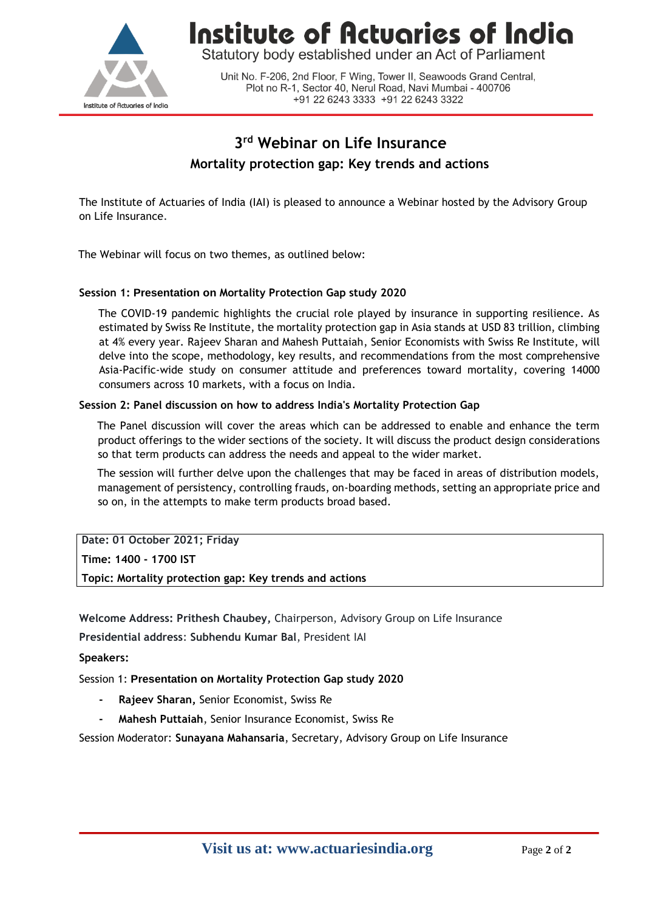

Institute of Actuaries of India

Statutory body established under an Act of Parliament

Unit No. F-206, 2nd Floor, F Wing, Tower II, Seawoods Grand Central, Plot no R-1, Sector 40, Nerul Road, Navi Mumbai - 400706 +91 22 6243 3333 +91 22 6243 3322

# **3 rd Webinar on Life Insurance Mortality protection gap: Key trends and actions**

The Institute of Actuaries of India (IAI) is pleased to announce a Webinar hosted by the Advisory Group on Life Insurance.

The Webinar will focus on two themes, as outlined below:

## **Session 1: Presentation on Mortality Protection Gap study 2020**

The COVID-19 pandemic highlights the crucial role played by insurance in supporting resilience. As estimated by Swiss Re Institute, the mortality protection gap in Asia stands at USD 83 trillion, climbing at 4% every year. Rajeev Sharan and Mahesh Puttaiah, Senior Economists with Swiss Re Institute, will delve into the scope, methodology, key results, and recommendations from the most comprehensive Asia-Pacific-wide study on consumer attitude and preferences toward mortality, covering 14000 consumers across 10 markets, with a focus on India.

#### **Session 2: Panel discussion on how to address India's Mortality Protection Gap**

The Panel discussion will cover the areas which can be addressed to enable and enhance the term product offerings to the wider sections of the society. It will discuss the product design considerations so that term products can address the needs and appeal to the wider market.

The session will further delve upon the challenges that may be faced in areas of distribution models, management of persistency, controlling frauds, on-boarding methods, setting an appropriate price and so on, in the attempts to make term products broad based.

**Date: 01 October 2021; Friday** 

**Time: 1400 - 1700 IST** 

**Topic: Mortality protection gap: Key trends and actions**

**Welcome Address: Prithesh Chaubey,** Chairperson, Advisory Group on Life Insurance

**Presidential address**: **Subhendu Kumar Bal**, President IAI

#### **Speakers:**

Session 1: **Presentation on Mortality Protection Gap study 2020**

- **- Rajeev Sharan,** Senior Economist, Swiss Re
- **- Mahesh Puttaiah**, Senior Insurance Economist, Swiss Re

Session Moderator: **Sunayana Mahansaria**, Secretary, Advisory Group on Life Insurance